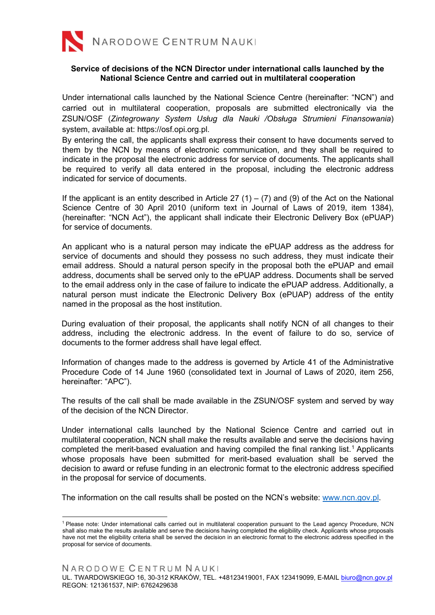

## **Service of decisions of the NCN Director under international calls launched by the National Science Centre and carried out in multilateral cooperation**

Under international calls launched by the National Science Centre (hereinafter: "NCN") and carried out in multilateral cooperation, proposals are submitted electronically via the ZSUN/OSF (*Zintegrowany System Usług dla Nauki /Obsługa Strumieni Finansowania*) system, available at: [https://osf.opi.org.pl.](https://osf.opi.org.pl/app/adm/start.do)

By entering the call, the applicants shall express their consent to have documents served to them by the NCN by means of electronic communication, and they shall be required to indicate in the proposal the electronic address for service of documents*.* The applicants shall be required to verify all data entered in the proposal, including the electronic address indicated for service of documents.

If the applicant is an entity described in Article 27  $(1) - (7)$  and (9) of the Act on the National Science Centre of 30 April 2010 (uniform text in Journal of Laws of 2019, item 1384), (hereinafter: "NCN Act"), the applicant shall indicate their Electronic Delivery Box (ePUAP) for service of documents.

An applicant who is a natural person may indicate the ePUAP address as the address for service of documents and should they possess no such address, they must indicate their email address. Should a natural person specify in the proposal both the ePUAP and email address, documents shall be served only to the ePUAP address. Documents shall be served to the email address only in the case of failure to indicate the ePUAP address. Additionally, a natural person must indicate the Electronic Delivery Box (ePUAP) address of the entity named in the proposal as the host institution.

During evaluation of their proposal, the applicants shall notify NCN of all changes to their address, including the electronic address. In the event of failure to do so, service of documents to the former address shall have legal effect.

Information of changes made to the address is governed by Article 41 of the Administrative Procedure Code of 14 June 1960 (consolidated text in Journal of Laws of 2020, item 256, hereinafter: "APC").

The results of the call shall be made available in the ZSUN/OSF system and served by way of the decision of the NCN Director.

Under international calls launched by the National Science Centre and carried out in multilateral cooperation, NCN shall make the results available and serve the decisions having completed the merit-based evaluation and having compiled the final ranking list. [1](#page-0-0) Applicants whose proposals have been submitted for merit-based evaluation shall be served the decision to award or refuse funding in an electronic format to the electronic address specified in the proposal for service of documents.

The information on the call results shall be posted on the NCN's website: [www.ncn.gov.pl.](http://www.ncn.gov.pl/)

<span id="page-0-0"></span><sup>1</sup> Please note: Under international calls carried out in multilateral cooperation pursuant to the Lead agency Procedure, NCN shall also make the results available and serve the decisions having completed the eligibility check. Applicants whose proposals have not met the eligibility criteria shall be served the decision in an electronic format to the electronic address specified in the proposal for service of documents.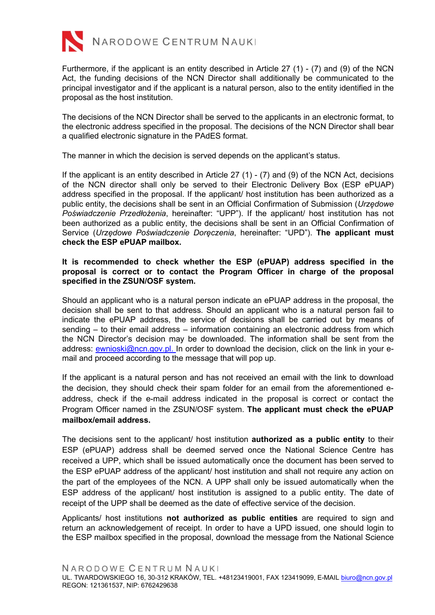

Furthermore, if the applicant is an entity described in Article 27 (1) - (7) and (9) of the NCN Act, the funding decisions of the NCN Director shall additionally be communicated to the principal investigator and if the applicant is a natural person, also to the entity identified in the proposal as the host institution.

The decisions of the NCN Director shall be served to the applicants in an electronic format, to the electronic address specified in the proposal. The decisions of the NCN Director shall bear a qualified electronic signature in the PAdES format.

The manner in which the decision is served depends on the applicant's status.

If the applicant is an entity described in Article 27 (1) - (7) and (9) of the NCN Act, decisions of the NCN director shall only be served to their Electronic Delivery Box (ESP ePUAP) address specified in the proposal. If the applicant/ host institution has been authorized as a public entity, the decisions shall be sent in an Official Confirmation of Submission (*Urzędowe Poświadczenie Przedłożenia*, hereinafter: "UPP"). If the applicant/ host institution has not been authorized as a public entity, the decisions shall be sent in an Official Confirmation of Service (*Urzędowe Poświadczenie Doręczenia*, hereinafter: "UPD"). **The applicant must check the ESP ePUAP mailbox.** 

## **It is recommended to check whether the ESP (ePUAP) address specified in the proposal is correct or to contact the Program Officer in charge of the proposal specified in the ZSUN/OSF system.**

Should an applicant who is a natural person indicate an ePUAP address in the proposal, the decision shall be sent to that address. Should an applicant who is a natural person fail to indicate the ePUAP address, the service of decisions shall be carried out by means of sending – to their email address – information containing an electronic address from which the NCN Director's decision may be downloaded. The information shall be sent from the address: [ewnioski@ncn.gov.pl.](mailto:%20ewnioski@ncn.gov.pl) In order to download the decision, click on the link in your email and proceed according to the message that will pop up.

If the applicant is a natural person and has not received an email with the link to download the decision, they should check their spam folder for an email from the aforementioned eaddress, check if the e-mail address indicated in the proposal is correct or contact the Program Officer named in the ZSUN/OSF system. **The applicant must check the ePUAP mailbox/email address.**

The decisions sent to the applicant/ host institution **authorized as a public entity** to their ESP (ePUAP) address shall be deemed served once the National Science Centre has received a UPP, which shall be issued automatically once the document has been served to the ESP ePUAP address of the applicant/ host institution and shall not require any action on the part of the employees of the NCN. A UPP shall only be issued automatically when the ESP address of the applicant/ host institution is assigned to a public entity. The date of receipt of the UPP shall be deemed as the date of effective service of the decision.

Applicants/ host institutions **not authorized as public entities** are required to sign and return an acknowledgement of receipt. In order to have a UPD issued, one should login to the ESP mailbox specified in the proposal, download the message from the National Science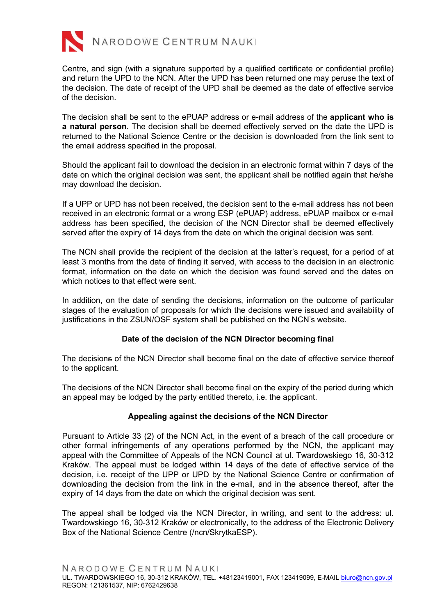

Centre, and sign (with a signature supported by a qualified certificate or confidential profile) and return the UPD to the NCN. After the UPD has been returned one may peruse the text of the decision. The date of receipt of the UPD shall be deemed as the date of effective service of the decision.

The decision shall be sent to the ePUAP address or e-mail address of the **applicant who is a natural person**. The decision shall be deemed effectively served on the date the UPD is returned to the National Science Centre or the decision is downloaded from the link sent to the email address specified in the proposal.

Should the applicant fail to download the decision in an electronic format within 7 days of the date on which the original decision was sent, the applicant shall be notified again that he/she may download the decision.

If a UPP or UPD has not been received, the decision sent to the e-mail address has not been received in an electronic format or a wrong ESP (ePUAP) address, ePUAP mailbox or e-mail address has been specified, the decision of the NCN Director shall be deemed effectively served after the expiry of 14 days from the date on which the original decision was sent.

The NCN shall provide the recipient of the decision at the latter's request, for a period of at least 3 months from the date of finding it served, with access to the decision in an electronic format, information on the date on which the decision was found served and the dates on which notices to that effect were sent.

In addition, on the date of sending the decisions, information on the outcome of particular stages of the evaluation of proposals for which the decisions were issued and availability of justifications in the ZSUN/OSF system shall be published on the NCN's website.

## **Date of the decision of the NCN Director becoming final**

The decisions of the NCN Director shall become final on the date of effective service thereof to the applicant.

The decisions of the NCN Director shall become final on the expiry of the period during which an appeal may be lodged by the party entitled thereto, i.e. the applicant.

## **Appealing against the decisions of the NCN Director**

Pursuant to Article 33 (2) of the NCN Act, in the event of a breach of the call procedure or other formal infringements of any operations performed by the NCN, the applicant may appeal with the Committee of Appeals of the NCN Council at ul. Twardowskiego 16, 30-312 Kraków. The appeal must be lodged within 14 days of the date of effective service of the decision, i.e. receipt of the UPP or UPD by the National Science Centre or confirmation of downloading the decision from the link in the e-mail, and in the absence thereof, after the expiry of 14 days from the date on which the original decision was sent.

The appeal shall be lodged via the NCN Director, in writing, and sent to the address: ul. Twardowskiego 16, 30-312 Kraków or electronically, to the address of the Electronic Delivery Box of the National Science Centre (/ncn/SkrytkaESP).